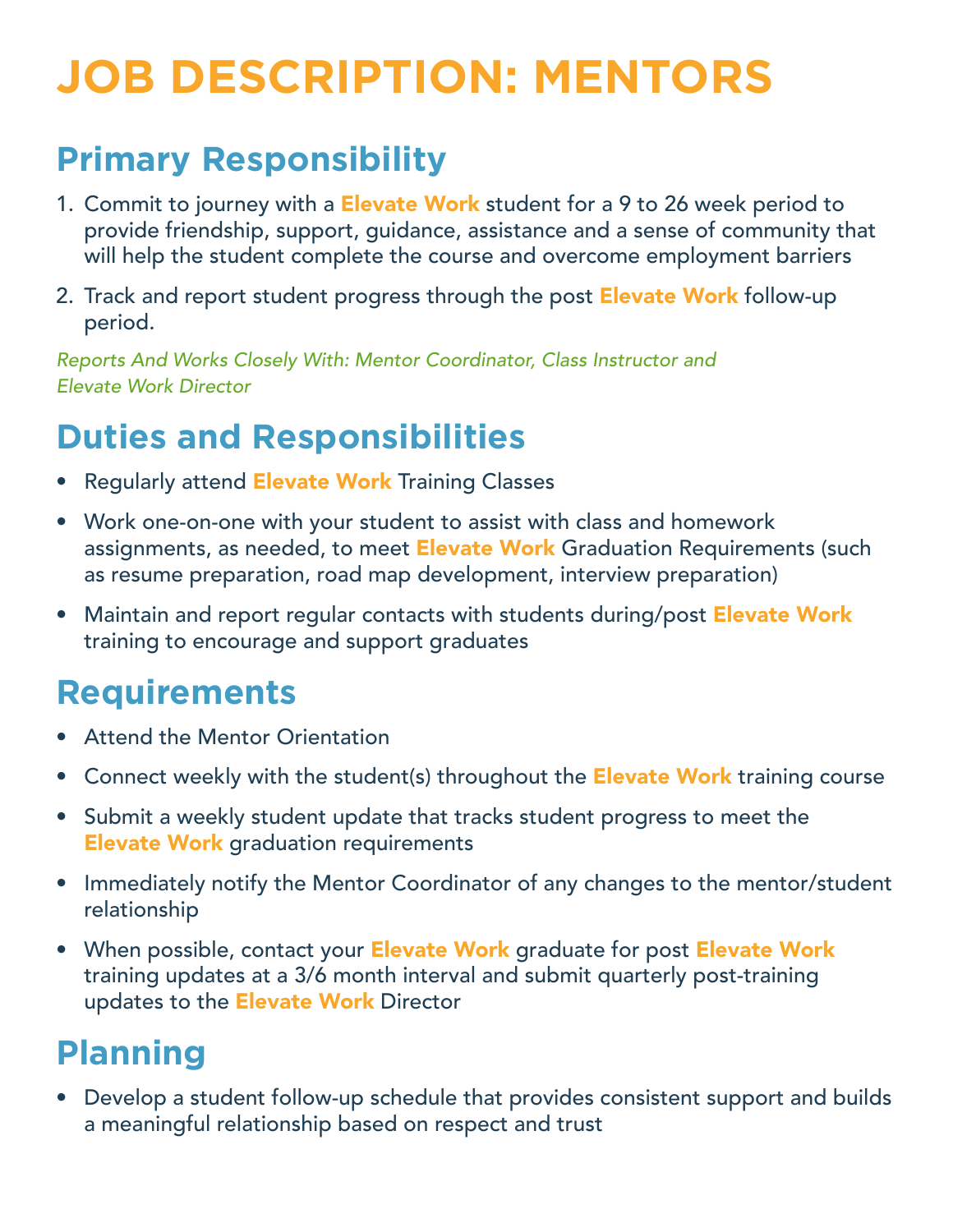# **JOB DESCRIPTION: MENTORS**

# **Primary Responsibility**

- 1. Commit to journey with a **Elevate Work** student for a 9 to 26 week period to provide friendship, support, guidance, assistance and a sense of community that will help the student complete the course and overcome employment barriers
- 2. Track and report student progress through the post Elevate Work follow-up period.

*Reports And Works Closely With: Mentor Coordinator, Class Instructor and Elevate Work Director* 

# **Duties and Responsibilities**

- Regularly attend Elevate Work Training Classes
- Work one-on-one with your student to assist with class and homework assignments, as needed, to meet **Elevate Work** Graduation Requirements (such as resume preparation, road map development, interview preparation)
- Maintain and report regular contacts with students during/post Elevate Work training to encourage and support graduates

# **Requirements**

- **Attend the Mentor Orientation**
- Connect weekly with the student(s) throughout the **Elevate Work** training course
- Submit a weekly student update that tracks student progress to meet the **Elevate Work** graduation requirements
- Immediately notify the Mentor Coordinator of any changes to the mentor/student relationship
- When possible, contact your Elevate Work graduate for post Elevate Work training updates at a 3/6 month interval and submit quarterly post-training updates to the **Elevate Work** Director

# **Planning**

• Develop a student follow-up schedule that provides consistent support and builds a meaningful relationship based on respect and trust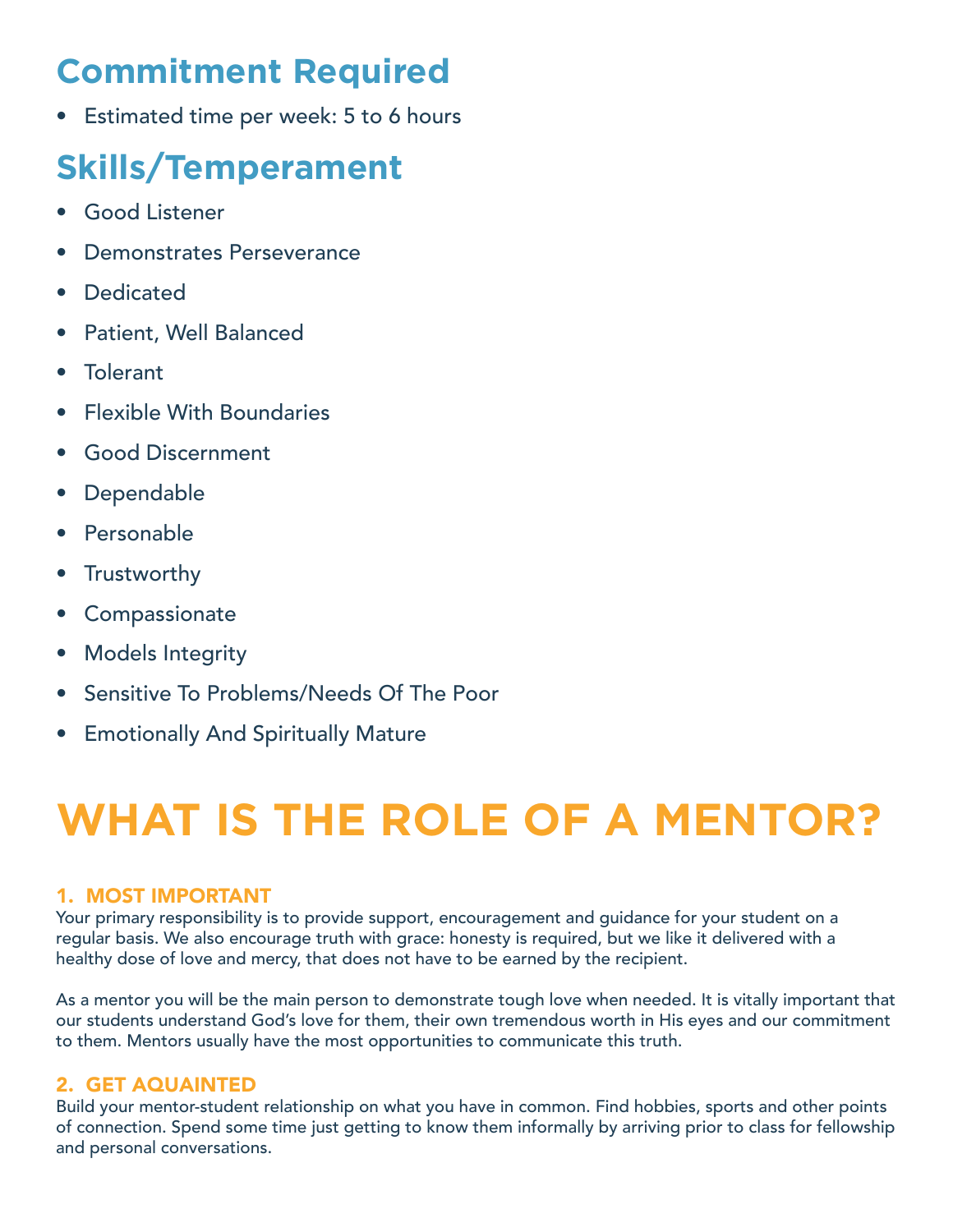# **Commitment Required**

• Estimated time per week: 5 to 6 hours

# **Skills/Temperament**

- • Good Listener
- Demonstrates Perseverance
- • Dedicated
- • Patient, Well Balanced
- • Tolerant
- • Flexible With Boundaries
- **Good Discernment**
- • Dependable
- • Personable
- Trustworthy
- • Compassionate
- Models Integrity
- Sensitive To Problems/Needs Of The Poor
- **•** Emotionally And Spiritually Mature

# **WHAT IS THE ROLE OF A MENTOR?**

### 1. MOST IMPORTANT

Your primary responsibility is to provide support, encouragement and guidance for your student on a regular basis. We also encourage truth with grace: honesty is required, but we like it delivered with a healthy dose of love and mercy, that does not have to be earned by the recipient.

As a mentor you will be the main person to demonstrate tough love when needed. It is vitally important that our students understand God's love for them, their own tremendous worth in His eyes and our commitment to them. Mentors usually have the most opportunities to communicate this truth.

## 2. GET AQUAINTED

Build your mentor-student relationship on what you have in common. Find hobbies, sports and other points of connection. Spend some time just getting to know them informally by arriving prior to class for fellowship and personal conversations.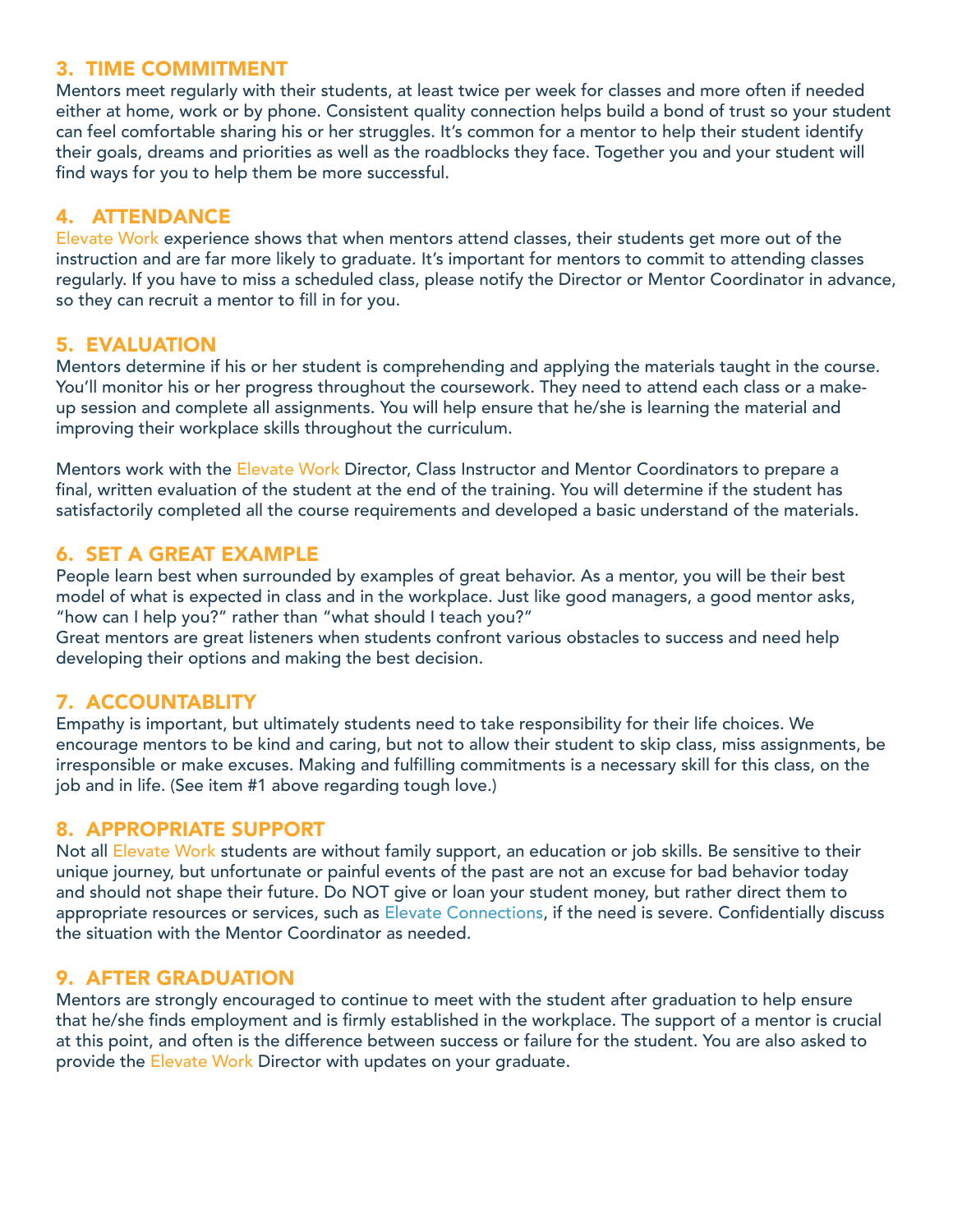#### 3. TIME COMMITMENT

Mentors meet regularly with their students, at least twice per week for classes and more often if needed either at home, work or by phone. Consistent quality connection helps build a bond of trust so your student can feel comfortable sharing his or her struggles. It's common for a mentor to help their student identify their goals, dreams and priorities as well as the roadblocks they face. Together you and your student will find ways for you to help them be more successful.

#### 4. ATTENDANCE

Elevate Work experience shows that when mentors attend classes, their students get more out of the instruction and are far more likely to graduate. It's important for mentors to commit to attending classes regularly. If you have to miss a scheduled class, please notify the Director or Mentor Coordinator in advance, so they can recruit a mentor to fill in for you.

#### 5. EVALUATION

Mentors determine if his or her student is comprehending and applying the materials taught in the course. You'll monitor his or her progress throughout the coursework. They need to attend each class or a makeup session and complete all assignments. You will help ensure that he/she is learning the material and improving their workplace skills throughout the curriculum.

Mentors work with the Elevate Work Director, Class Instructor and Mentor Coordinators to prepare a final, written evaluation of the student at the end of the training. You will determine if the student has satisfactorily completed all the course requirements and developed a basic understand of the materials.

#### 6. SET A GREAT EXAMPLE

People learn best when surrounded by examples of great behavior. As a mentor, you will be their best model of what is expected in class and in the workplace. Just like good managers, a good mentor asks, "how can I help you?" rather than "what should I teach you?"

Great mentors are great listeners when students confront various obstacles to success and need help developing their options and making the best decision.

#### 7. ACCOUNTABLITY

Empathy is important, but ultimately students need to take responsibility for their life choices. We encourage mentors to be kind and caring, but not to allow their student to skip class, miss assignments, be irresponsible or make excuses. Making and fulfilling commitments is a necessary skill for this class, on the job and in life. (See item #1 above regarding tough love.)

#### 8. APPROPRIATE SUPPORT

Not all Elevate Work students are without family support, an education or job skills. Be sensitive to their unique journey, but unfortunate or painful events of the past are not an excuse for bad behavior today and should not shape their future. Do NOT give or loan your student money, but rather direct them to appropriate resources or services, such as Elevate Connections, if the need is severe. Confidentially discuss the situation with the Mentor Coordinator as needed.

#### 9. AFTER GRADUATION

Mentors are strongly encouraged to continue to meet with the student after graduation to help ensure that he/she finds employment and is firmly established in the workplace. The support of a mentor is crucial at this point, and often is the difference between success or failure for the student. You are also asked to provide the Elevate Work Director with updates on your graduate.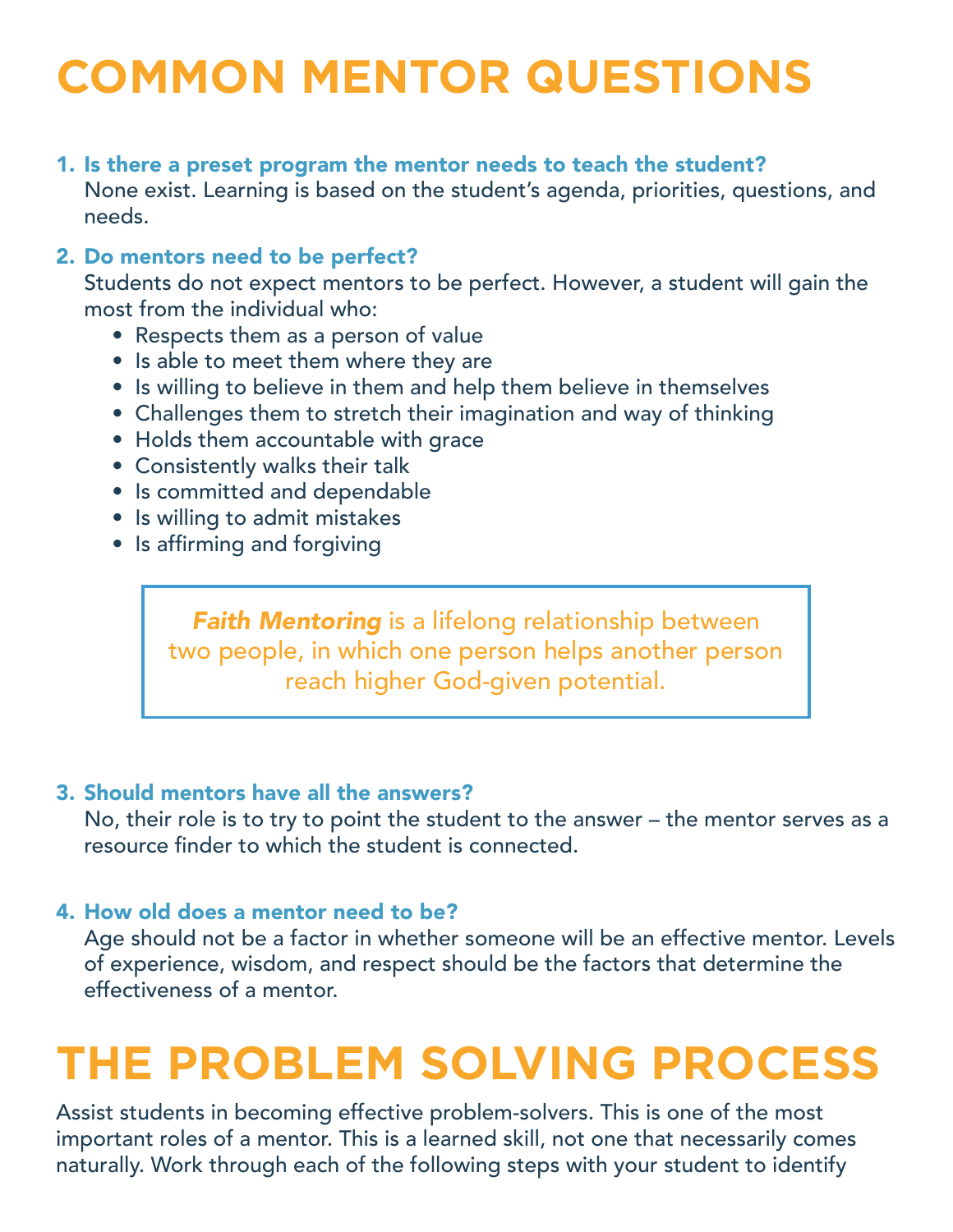# **COMMON MENTOR QUESTIONS**

### 1. Is there a preset program the mentor needs to teach the student?

None exist. Learning is based on the student's agenda, priorities, questions, and needs.

## 2. Do mentors need to be perfect?

Students do not expect mentors to be perfect. However, a student will gain the most from the individual who:

- Respects them as a person of value
- Is able to meet them where they are
- Is willing to believe in them and help them believe in themselves
- Challenges them to stretch their imagination and way of thinking
- Holds them accountable with grace
- Consistently walks their talk
- Is committed and dependable
- Is willing to admit mistakes
- Is affirming and forgiving

**Faith Mentoring** is a lifelong relationship between two people, in which one person helps another person reach higher God-given potential.

## 3. Should mentors have all the answers?

No, their role is to try to point the student to the answer – the mentor serves as a resource finder to which the student is connected.

## 4. How old does a mentor need to be?

Age should not be a factor in whether someone will be an effective mentor. Levels of experience, wisdom, and respect should be the factors that determine the effectiveness of a mentor.

# **THE PROBLEM SOLVING PROCESS**

Assist students in becoming effective problem-solvers. This is one of the most important roles of a mentor. This is a learned skill, not one that necessarily comes naturally. Work through each of the following steps with your student to identify